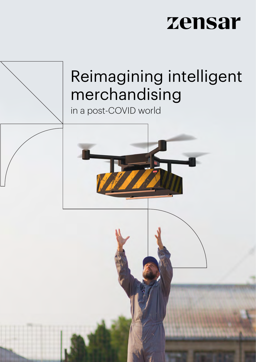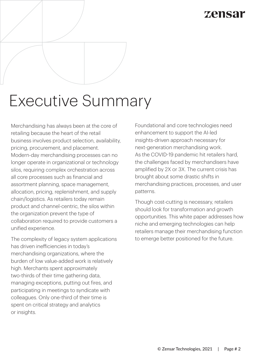## zensai

# Executive Summary

Merchandising has always been at the core of retailing because the heart of the retail business involves product selection, availability, pricing, procurement, and placement. Modern-day merchandising processes can no longer operate in organizational or technology silos, requiring complex orchestration across all core processes such as financial and assortment planning, space management, allocation, pricing, replenishment, and supply chain/logistics. As retailers today remain product and channel-centric, the silos within the organization prevent the type of collaboration required to provide customers a unified experience.

The complexity of legacy system applications has driven inefficiencies in today's merchandising organizations, where the burden of low value-added work is relatively high. Merchants spent approximately two-thirds of their time gathering data, managing exceptions, putting out fires, and participating in meetings to syndicate with colleagues. Only one-third of their time is spent on critical strategy and analytics or insights.

Foundational and core technologies need enhancement to support the AI-led insights-driven approach necessary for next-generation merchandising work. As the COVID-19 pandemic hit retailers hard, the challenges faced by merchandisers have amplified by 2X or 3X. The current crisis has brought about some drastic shifts in merchandising practices, processes, and user patterns.

Though cost-cutting is necessary, retailers should look for transformation and growth opportunities. This white paper addresses how niche and emerging technologies can help retailers manage their merchandising function to emerge better positioned for the future.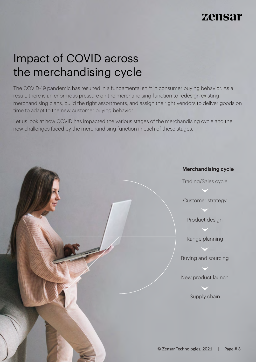## Impact of COVID across the merchandising cycle

The COVID-19 pandemic has resulted in a fundamental shift in consumer buying behavior. As a result, there is an enormous pressure on the merchandising function to redesign existing merchandising plans, build the right assortments, and assign the right vendors to deliver goods on time to adapt to the new customer buying behavior.

Let us look at how COVID has impacted the various stages of the merchandising cycle and the new challenges faced by the merchandising function in each of these stages.

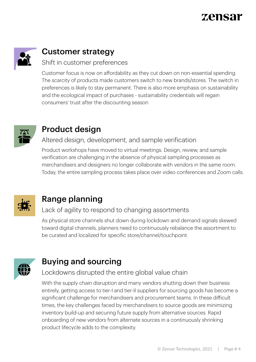

## Customer strategy

#### Shift in customer preferences

Customer focus is now on affordability as they cut down on non-essential spending. The scarcity of products made customers switch to new brands/stores. The switch in preferences is likely to stay permanent. There is also more emphasis on sustainability and the ecological impact of purchases - sustainability credentials will regain consumers' trust after the discounting season



### Product design

### Altered design, development, and sample verification

Product workshops have moved to virtual meetings. Design, review, and sample verification are challenging in the absence of physical sampling processes as merchandisers and designers no longer collaborate with vendors in the same room. Today, the entire sampling process takes place over video conferences and Zoom calls.



### Range planning

#### Lack of agility to respond to changing assortments

As physical store channels shut down during lockdown and demand signals skewed toward digital channels, planners need to continuously rebalance the assortment to be curated and localized for specific store/channel/touchpoint.



## Buying and sourcing

### Lockdowns disrupted the entire global value chain

With the supply chain disruption and many vendors shutting down their business entirely, getting access to tier-I and tier-II suppliers for sourcing goods has become a significant challenge for merchandisers and procurement teams. In these difficult times, the key challenges faced by merchandisers to source goods are minimizing inventory build-up and securing future supply from alternative sources. Rapid onboarding of new vendors from alternate sources in a continuously shrinking product lifecycle adds to the complexity.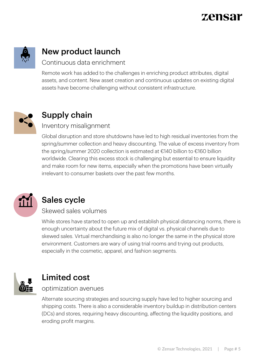

## New product launch

#### Continuous data enrichment

Remote work has added to the challenges in enriching product attributes, digital assets, and content. New asset creation and continuous updates on existing digital assets have become challenging without consistent infrastructure.



## Supply chain

#### Inventory misalignment

Global disruption and store shutdowns have led to high residual inventories from the spring/summer collection and heavy discounting. The value of excess inventory from the spring/summer 2020 collection is estimated at €140 billion to €160 billion worldwide. Clearing this excess stock is challenging but essential to ensure liquidity and make room for new items, especially when the promotions have been virtually irrelevant to consumer baskets over the past few months.



## Sales cycle

#### Skewed sales volumes

While stores have started to open up and establish physical distancing norms, there is enough uncertainty about the future mix of digital vs. physical channels due to skewed sales. Virtual merchandising is also no longer the same in the physical store environment. Customers are wary of using trial rooms and trying out products, especially in the cosmetic, apparel, and fashion segments.



### Limited cost

#### optimization avenues

Alternate sourcing strategies and sourcing supply have led to higher sourcing and shipping costs. There is also a considerable inventory buildup in distribution centers (DCs) and stores, requiring heavy discounting, affecting the liquidity positions, and eroding profit margins.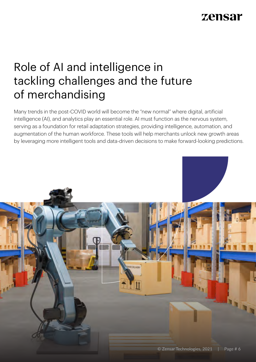## Role of AI and intelligence in tackling challenges and the future of merchandising

Many trends in the post-COVID world will become the "new normal" where digital, artificial intelligence (AI), and analytics play an essential role. AI must function as the nervous system, serving as a foundation for retail adaptation strategies, providing intelligence, automation, and augmentation of the human workforce. These tools will help merchants unlock new growth areas by leveraging more intelligent tools and data-driven decisions to make forward-looking predictions.

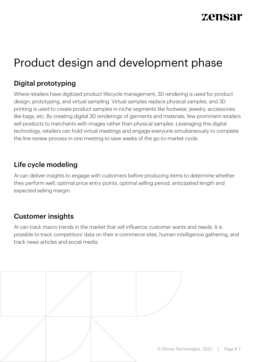## Product design and development phase

### Digital prototyping

Where retailers have digitized product lifecycle management, 3D rendering is used for product design, prototyping, and virtual sampling. Virtual samples replace physical samples, and 3D printing is used to create product samples in niche segments like footwear, jewelry, accessories like bags, etc. By creating digital 3D renderings of garments and materials, few prominent retailers sell products to merchants with images rather than physical samples. Leveraging this digital technology, retailers can hold virtual meetings and engage everyone simultaneously to complete the line review process in one meeting to save weeks of the go-to-market cycle.

### Life cycle modeling

AI can deliver insights to engage with customers before producing items to determine whether they perform well, optimal price entry points, optimal selling period, anticipated length and expected selling margin.

### Customer insights

AI can track macro trends in the market that will influence customer wants and needs. It is possible to track competitors' data on their e-commerce sites, human intelligence gathering, and track news articles and social media.

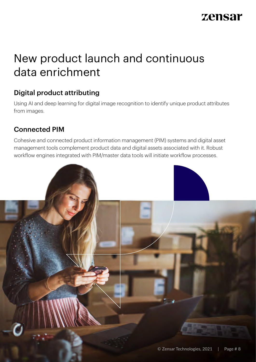## New product launch and continuous data enrichment

### Digital product attributing

Using AI and deep learning for digital image recognition to identify unique product attributes from images.

### Connected PIM

Cohesive and connected product information management (PIM) systems and digital asset management tools complement product data and digital assets associated with it. Robust workflow engines integrated with PIM/master data tools will initiate workflow processes.

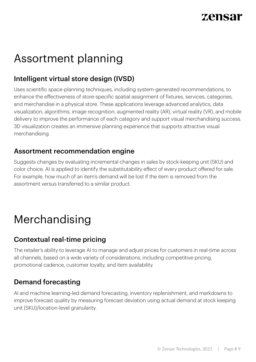## Assortment planning

### Intelligent virtual store design (IVSD)

Uses scientific space-planning techniques, including system-generated recommendations, to enhance the effectiveness of store-specific spatial assignment of fixtures, services, categories, and merchandise in a physical store. These applications leverage advanced analytics, data visualization, algorithms, image recognition, augmented reality (AR), virtual reality (VR), and mobile delivery to improve the performance of each category and support visual merchandising success. 3D visualization creates an immersive planning experience that supports attractive visual merchandising.

### Assortment recommendation engine

Suggests changes by evaluating incremental changes in sales by stock-keeping unit (SKU) and color choice. AI is applied to identify the substitutability effect of every product offered for sale. For example, how much of an item's demand will be lost if the item is removed from the assortment versus transferred to a similar product.

## Merchandising

### Contextual real-time pricing

The retailer's ability to leverage AI to manage and adjust prices for customers in real-time across all channels, based on a wide variety of considerations, including competitive pricing, promotional cadence, customer loyalty, and item availability.

### Demand forecasting

AI and machine learning-led demand forecasting, inventory replenishment, and markdowns to improve forecast quality by measuring forecast deviation using actual demand at stock keeping unit (SKU)/location-level granularity.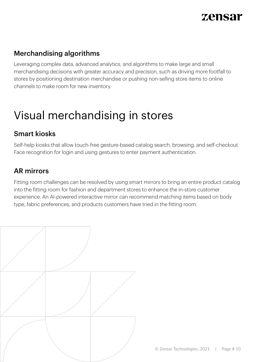### Merchandising algorithms

Leveraging complex data, advanced analytics, and algorithms to make large and small merchandising decisions with greater accuracy and precision, such as driving more footfall to stores by positioning destination merchandise or pushing non-selling store items to online channels to make room for new inventory.

## Visual merchandising in stores

### Smart kiosks

Self-help kiosks that allow touch-free gesture-based catalog search, browsing, and self-checkout. Face recognition for login and using gestures to enter payment authentication.

### AR mirrors

Fitting room challenges can be resolved by using smart mirrors to bring an entire product catalog into the fitting room for fashion and department stores to enhance the in-store customer experience. An AI-powered interactive mirror can recommend matching items based on body type, fabric preferences, and products customers have tried in the fitting room.

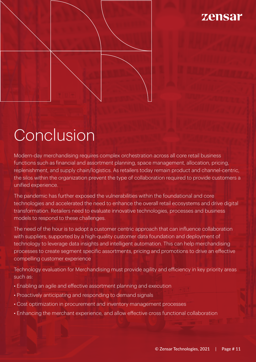

# Conclusion

Modern-day merchandising requires complex orchestration across all core retail business functions such as financial and assortment planning, space management, allocation, pricing, replenishment, and supply chain/logistics. As retailers today remain product and channel-centric, the silos within the organization prevent the type of collaboration required to provide customers a unified experience.

The pandemic has further exposed the vulnerabilities within the foundational and core technologies and accelerated the need to enhance the overall retail ecosystems and drive digital transformation. Retailers need to evaluate innovative technologies, processes and business models to respond to these challenges.

The need of the hour is to adopt a customer centric approach that can influence collaboration with suppliers, supported by a high-quality customer data foundation and deployment of technology to leverage data insights and intelligent automation. This can help merchandising processes to create segment specific assortments, pricing and promotions to drive an effective compelling customer experience

Technology evaluation for Merchandising must provide agility and efficiency in key priority areas such as:

- Enabling an agile and effective assortment planning and execution
- Proactively anticipating and responding to demand signals
- Cost optimization in procurement and inventory management processes
- Enhancing the merchant experience, and allow effective cross functional collaboration